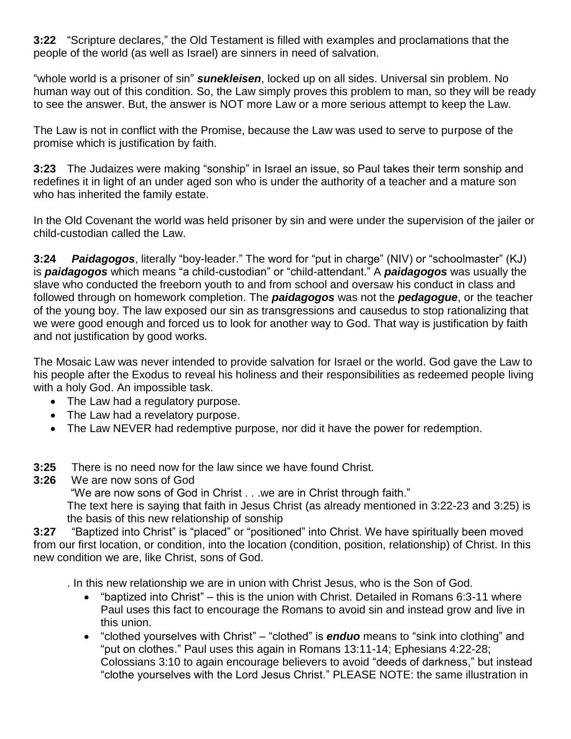**3:22** "Scripture declares," the Old Testament is filled with examples and proclamations that the people of the world (as well as Israel) are sinners in need of salvation.

"whole world is a prisoner of sin" *sunekleisen*, locked up on all sides. Universal sin problem. No human way out of this condition. So, the Law simply proves this problem to man, so they will be ready to see the answer. But, the answer is NOT more Law or a more serious attempt to keep the Law.

The Law is not in conflict with the Promise, because the Law was used to serve to purpose of the promise which is justification by faith.

**3:23** The Judaizes were making "sonship" in Israel an issue, so Paul takes their term sonship and redefines it in light of an under aged son who is under the authority of a teacher and a mature son who has inherited the family estate.

In the Old Covenant the world was held prisoner by sin and were under the supervision of the jailer or child-custodian called the Law.

**3:24** *Paidagogos*, literally "boy-leader." The word for "put in charge" (NIV) or "schoolmaster" (KJ) is *paidagogos* which means "a child-custodian" or "child-attendant." A *paidagogos* was usually the slave who conducted the freeborn youth to and from school and oversaw his conduct in class and followed through on homework completion. The *paidagogos* was not the *pedagogue*, or the teacher of the young boy. The law exposed our sin as transgressions and causedus to stop rationalizing that we were good enough and forced us to look for another way to God. That way is justification by faith and not justification by good works.

The Mosaic Law was never intended to provide salvation for Israel or the world. God gave the Law to his people after the Exodus to reveal his holiness and their responsibilities as redeemed people living with a holy God. An impossible task.

- The Law had a regulatory purpose.
- The Law had a revelatory purpose.
- The Law NEVER had redemptive purpose, nor did it have the power for redemption.
- **3:25** There is no need now for the law since we have found Christ.
- **3:26** We are now sons of God

"We are now sons of God in Christ . . .we are in Christ through faith."

The text here is saying that faith in Jesus Christ (as already mentioned in 3:22-23 and 3:25) is the basis of this new relationship of sonship

**3:27** "Baptized into Christ" is "placed" or "positioned" into Christ. We have spiritually been moved from our first location, or condition, into the location (condition, position, relationship) of Christ. In this new condition we are, like Christ, sons of God.

. In this new relationship we are in union with Christ Jesus, who is the Son of God.

- "baptized into Christ" this is the union with Christ. Detailed in Romans 6:3-11 where Paul uses this fact to encourage the Romans to avoid sin and instead grow and live in this union.
- "clothed yourselves with Christ" "clothed" is *enduo* means to "sink into clothing" and "put on clothes." Paul uses this again in Romans 13:11-14; Ephesians 4:22-28; Colossians 3:10 to again encourage believers to avoid "deeds of darkness," but instead "clothe yourselves with the Lord Jesus Christ." PLEASE NOTE: the same illustration in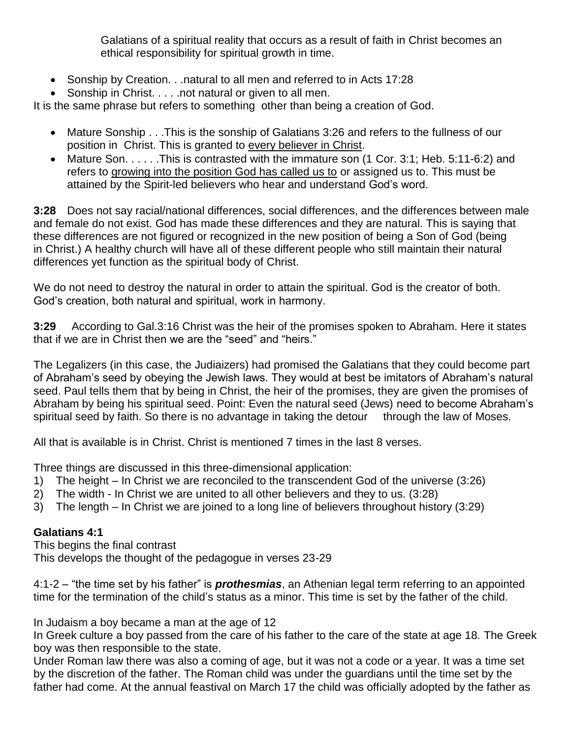Galatians of a spiritual reality that occurs as a result of faith in Christ becomes an ethical responsibility for spiritual growth in time.

- Sonship by Creation. . .natural to all men and referred to in Acts 17:28
- Sonship in Christ. . . . .not natural or given to all men.

It is the same phrase but refers to something other than being a creation of God.

- Mature Sonship . . .This is the sonship of Galatians 3:26 and refers to the fullness of our position in Christ. This is granted to every believer in Christ.
- Mature Son. . . . . .This is contrasted with the immature son (1 Cor. 3:1; Heb. 5:11-6:2) and refers to growing into the position God has called us to or assigned us to. This must be attained by the Spirit-led believers who hear and understand God's word.

**3:28** Does not say racial/national differences, social differences, and the differences between male and female do not exist. God has made these differences and they are natural. This is saying that these differences are not figured or recognized in the new position of being a Son of God (being in Christ.) A healthy church will have all of these different people who still maintain their natural differences yet function as the spiritual body of Christ.

We do not need to destroy the natural in order to attain the spiritual. God is the creator of both. God's creation, both natural and spiritual, work in harmony.

**3:29** According to Gal.3:16 Christ was the heir of the promises spoken to Abraham. Here it states that if we are in Christ then we are the "seed" and "heirs."

The Legalizers (in this case, the Judiaizers) had promised the Galatians that they could become part of Abraham's seed by obeying the Jewish laws. They would at best be imitators of Abraham's natural seed. Paul tells them that by being in Christ, the heir of the promises, they are given the promises of Abraham by being his spiritual seed. Point: Even the natural seed (Jews) need to become Abraham's spiritual seed by faith. So there is no advantage in taking the detour through the law of Moses.

All that is available is in Christ. Christ is mentioned 7 times in the last 8 verses.

Three things are discussed in this three-dimensional application:

- 1) The height In Christ we are reconciled to the transcendent God of the universe (3:26)
- 2) The width In Christ we are united to all other believers and they to us. (3:28)
- 3) The length In Christ we are joined to a long line of believers throughout history (3:29)

## **Galatians 4:1**

This begins the final contrast

This develops the thought of the pedagogue in verses 23-29

4:1-2 – "the time set by his father" is *prothesmias*, an Athenian legal term referring to an appointed time for the termination of the child's status as a minor. This time is set by the father of the child.

In Judaism a boy became a man at the age of 12

In Greek culture a boy passed from the care of his father to the care of the state at age 18. The Greek boy was then responsible to the state.

Under Roman law there was also a coming of age, but it was not a code or a year. It was a time set by the discretion of the father. The Roman child was under the guardians until the time set by the father had come. At the annual feastival on March 17 the child was officially adopted by the father as